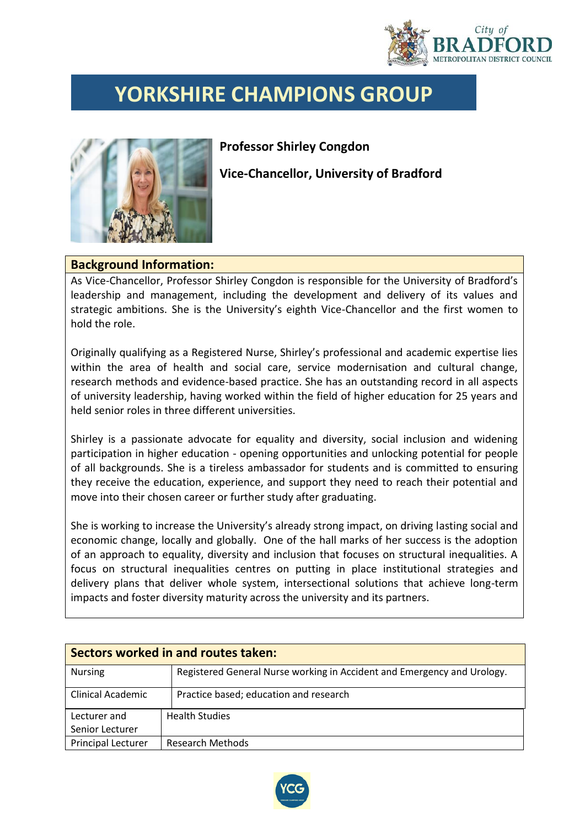

## **YORKSHIRE CHAMPIONS GROUP**



## **Professor Shirley Congdon**

**Vice-Chancellor, University of Bradford**

## **Background Information:**

As Vice-Chancellor, Professor Shirley Congdon is responsible for the University of Bradford's leadership and management, including the development and delivery of its values and strategic ambitions. She is the University's eighth Vice-Chancellor and the first women to hold the role.

Originally qualifying as a Registered Nurse, Shirley's professional and academic expertise lies within the area of health and social care, service modernisation and cultural change, research methods and evidence-based practice. She has an outstanding record in all aspects of university leadership, having worked within the field of higher education for 25 years and held senior roles in three different universities.

Shirley is a passionate advocate for equality and diversity, social inclusion and widening participation in higher education - opening opportunities and unlocking potential for people of all backgrounds. She is a tireless ambassador for students and is committed to ensuring they receive the education, experience, and support they need to reach their potential and move into their chosen career or further study after graduating.

She is working to increase the University's already strong impact, on driving lasting social and economic change, locally and globally. One of the hall marks of her success is the adoption of an approach to equality, diversity and inclusion that focuses on structural inequalities. A focus on structural inequalities centres on putting in place institutional strategies and delivery plans that deliver whole system, intersectional solutions that achieve long-term impacts and foster diversity maturity across the university and its partners.

| Sectors worked in and routes taken: |                                                                         |  |  |  |
|-------------------------------------|-------------------------------------------------------------------------|--|--|--|
| <b>Nursing</b>                      | Registered General Nurse working in Accident and Emergency and Urology. |  |  |  |
| Clinical Academic                   | Practice based; education and research                                  |  |  |  |
| Lecturer and                        | <b>Health Studies</b>                                                   |  |  |  |
| Senior Lecturer                     |                                                                         |  |  |  |
| <b>Principal Lecturer</b>           | <b>Research Methods</b>                                                 |  |  |  |